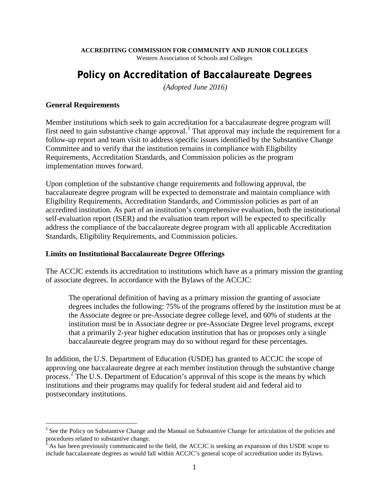**ACCREDITING COMMISSION FOR COMMUNITY AND JUNIOR COLLEGES**

Western Association of Schools and Colleges

# **Policy on Accreditation of Baccalaureate Degrees**

*(Adopted June 2016)*

#### **General Requirements**

Member institutions which seek to gain accreditation for a baccalaureate degree program will first need to gain substantive change approval.<sup>[1](#page-0-0)</sup> That approval may include the requirement for a follow-up report and team visit to address specific issues identified by the Substantive Change Committee and to verify that the institution remains in compliance with Eligibility Requirements, Accreditation Standards, and Commission policies as the program implementation moves forward.

Upon completion of the substantive change requirements and following approval, the baccalaureate degree program will be expected to demonstrate and maintain compliance with Eligibility Requirements, Accreditation Standards, and Commission policies as part of an accredited institution. As part of an institution's comprehensive evaluation, both the institutional self-evaluation report (ISER) and the evaluation team report will be expected to specifically address the compliance of the baccalaureate degree program with all applicable Accreditation Standards, Eligibility Requirements, and Commission policies.

#### **Limits on Institutional Baccalaureate Degree Offerings**

The ACCJC extends its accreditation to institutions which have as a primary mission the granting of associate degrees. In accordance with the Bylaws of the ACCJC:

The operational definition of having as a primary mission the granting of associate degrees includes the following: 75% of the programs offered by the institution must be at the Associate degree or pre-Associate degree college level, and 60% of students at the institution must be in Associate degree or pre-Associate Degree level programs, except that a primarily 2-year higher education institution that has or proposes only a single baccalaureate degree program may do so without regard for these percentages.

In addition, the U.S. Department of Education (USDE) has granted to ACCJC the scope of approving one baccalaureate degree at each member institution through the substantive change process.[2](#page-0-1) The U.S. Department of Education's approval of this scope is the means by which institutions and their programs may qualify for federal student aid and federal aid to postsecondary institutions.

<span id="page-0-0"></span><sup>&</sup>lt;sup>1</sup> See the Policy on Substantive Change and the Manual on Substantive Change for articulation of the policies and procedures related to substantive change.

<span id="page-0-1"></span>As has been previously communicated to the field, the ACCJC is seeking an expansion of this USDE scope to include baccalaureate degrees as would fall within ACCJC's general scope of accreditation under its Bylaws.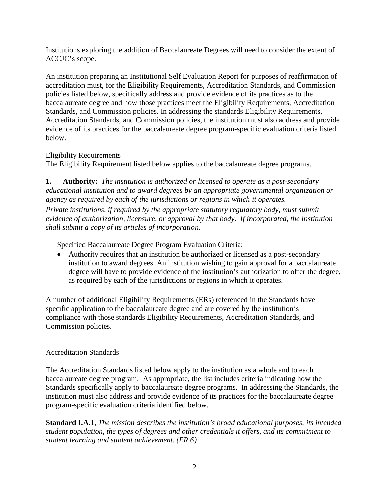Institutions exploring the addition of Baccalaureate Degrees will need to consider the extent of ACCJC's scope.

An institution preparing an Institutional Self Evaluation Report for purposes of reaffirmation of accreditation must, for the Eligibility Requirements, Accreditation Standards, and Commission policies listed below, specifically address and provide evidence of its practices as to the baccalaureate degree and how those practices meet the Eligibility Requirements, Accreditation Standards, and Commission policies. In addressing the standards Eligibility Requirements, Accreditation Standards, and Commission policies, the institution must also address and provide evidence of its practices for the baccalaureate degree program-specific evaluation criteria listed below.

## Eligibility Requirements

The Eligibility Requirement listed below applies to the baccalaureate degree programs.

**1. Authority:** *The institution is authorized or licensed to operate as a post-secondary educational institution and to award degrees by an appropriate governmental organization or agency as required by each of the jurisdictions or regions in which it operates.*

*Private institutions, if required by the appropriate statutory regulatory body, must submit evidence of authorization, licensure, or approval by that body. If incorporated, the institution shall submit a copy of its articles of incorporation.*

Specified Baccalaureate Degree Program Evaluation Criteria:

• Authority requires that an institution be authorized or licensed as a post-secondary institution to award degrees. An institution wishing to gain approval for a baccalaureate degree will have to provide evidence of the institution's authorization to offer the degree, as required by each of the jurisdictions or regions in which it operates.

A number of additional Eligibility Requirements (ERs) referenced in the Standards have specific application to the baccalaureate degree and are covered by the institution's compliance with those standards Eligibility Requirements, Accreditation Standards, and Commission policies.

# Accreditation Standards

The Accreditation Standards listed below apply to the institution as a whole and to each baccalaureate degree program. As appropriate, the list includes criteria indicating how the Standards specifically apply to baccalaureate degree programs. In addressing the Standards, the institution must also address and provide evidence of its practices for the baccalaureate degree program-specific evaluation criteria identified below.

**Standard I.A.1**, *The mission describes the institution's broad educational purposes, its intended student population, the types of degrees and other credentials it offers, and its commitment to student learning and student achievement. (ER 6)*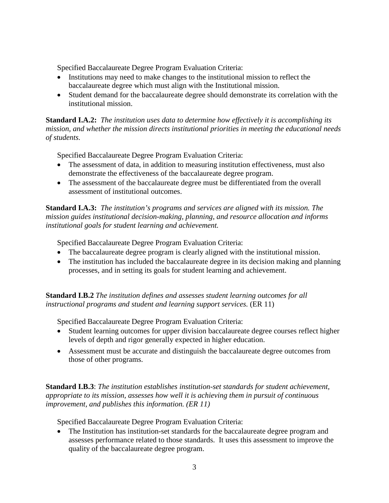Specified Baccalaureate Degree Program Evaluation Criteria:

- Institutions may need to make changes to the institutional mission to reflect the baccalaureate degree which must align with the Institutional mission.
- Student demand for the baccalaureate degree should demonstrate its correlation with the institutional mission.

**Standard I.A.2:** *The institution uses data to determine how effectively it is accomplishing its mission, and whether the mission directs institutional priorities in meeting the educational needs of students.*

Specified Baccalaureate Degree Program Evaluation Criteria:

- The assessment of data, in addition to measuring institution effectiveness, must also demonstrate the effectiveness of the baccalaureate degree program.
- The assessment of the baccalaureate degree must be differentiated from the overall assessment of institutional outcomes.

**Standard I.A.3:** *The institution's programs and services are aligned with its mission. The mission guides institutional decision-making, planning, and resource allocation and informs institutional goals for student learning and achievement.*

Specified Baccalaureate Degree Program Evaluation Criteria:

- The baccalaureate degree program is clearly aligned with the institutional mission.
- The institution has included the baccalaureate degree in its decision making and planning processes, and in setting its goals for student learning and achievement.

**Standard I.B.2** *The institution defines and assesses student learning outcomes for all instructional programs and student and learning support services.* (ER 11)

Specified Baccalaureate Degree Program Evaluation Criteria:

- Student learning outcomes for upper division baccalaureate degree courses reflect higher levels of depth and rigor generally expected in higher education.
- Assessment must be accurate and distinguish the baccalaureate degree outcomes from those of other programs.

**Standard I.B.3**: *The institution establishes institution-set standards for student achievement, appropriate to its mission, assesses how well it is achieving them in pursuit of continuous improvement, and publishes this information. (ER 11)*

Specified Baccalaureate Degree Program Evaluation Criteria:

• The Institution has institution-set standards for the baccalaureate degree program and assesses performance related to those standards. It uses this assessment to improve the quality of the baccalaureate degree program.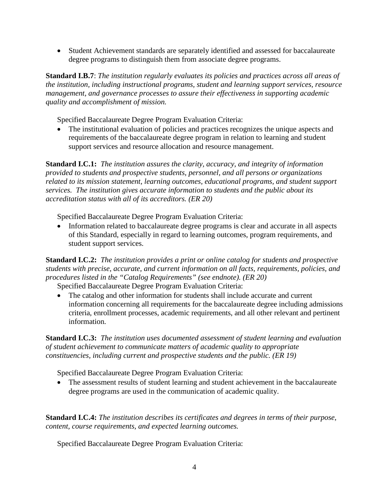• Student Achievement standards are separately identified and assessed for baccalaureate degree programs to distinguish them from associate degree programs.

**Standard I.B.7**: *The institution regularly evaluates its policies and practices across all areas of the institution, including instructional programs, student and learning support services, resource management, and governance processes to assure their effectiveness in supporting academic quality and accomplishment of mission.*

Specified Baccalaureate Degree Program Evaluation Criteria:

• The institutional evaluation of policies and practices recognizes the unique aspects and requirements of the baccalaureate degree program in relation to learning and student support services and resource allocation and resource management.

**Standard I.C.1:** *The institution assures the clarity, accuracy, and integrity of information provided to students and prospective students, personnel, and all persons or organizations related to its mission statement, learning outcomes, educational programs, and student support services. The institution gives accurate information to students and the public about its accreditation status with all of its accreditors. (ER 20)*

Specified Baccalaureate Degree Program Evaluation Criteria:

• Information related to baccalaureate degree programs is clear and accurate in all aspects of this Standard, especially in regard to learning outcomes, program requirements, and student support services.

**Standard I.C.2:** *The institution provides a print or online catalog for students and prospective students with precise, accurate, and current information on all facts, requirements, policies, and procedures listed in the "Catalog Requirements" (see endnote). (ER 20)* 

Specified Baccalaureate Degree Program Evaluation Criteria:

• The catalog and other information for students shall include accurate and current information concerning all requirements for the baccalaureate degree including admissions criteria, enrollment processes, academic requirements, and all other relevant and pertinent information.

**Standard I.C.3:** *The institution uses documented assessment of student learning and evaluation of student achievement to communicate matters of academic quality to appropriate constituencies, including current and prospective students and the public. (ER 19)*

Specified Baccalaureate Degree Program Evaluation Criteria:

• The assessment results of student learning and student achievement in the baccalaureate degree programs are used in the communication of academic quality.

**Standard I.C.4:** *The institution describes its certificates and degrees in terms of their purpose, content, course requirements, and expected learning outcomes.*

Specified Baccalaureate Degree Program Evaluation Criteria: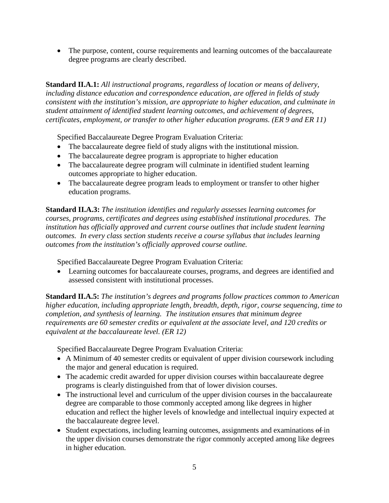• The purpose, content, course requirements and learning outcomes of the baccalaureate degree programs are clearly described.

**Standard II.A.1:** *All instructional programs, regardless of location or means of delivery, including distance education and correspondence education, are offered in fields of study consistent with the institution's mission, are appropriate to higher education, and culminate in student attainment of identified student learning outcomes, and achievement of degrees, certificates, employment, or transfer to other higher education programs. (ER 9 and ER 11)* 

Specified Baccalaureate Degree Program Evaluation Criteria:

- The baccalaureate degree field of study aligns with the institutional mission.
- The baccalaureate degree program is appropriate to higher education
- The baccalaureate degree program will culminate in identified student learning outcomes appropriate to higher education.
- The baccalaureate degree program leads to employment or transfer to other higher education programs.

**Standard II.A.3:** *The institution identifies and regularly assesses learning outcomes for courses, programs, certificates and degrees using established institutional procedures. The institution has officially approved and current course outlines that include student learning outcomes. In every class section students receive a course syllabus that includes learning outcomes from the institution's officially approved course outline.*

Specified Baccalaureate Degree Program Evaluation Criteria:

• Learning outcomes for baccalaureate courses, programs, and degrees are identified and assessed consistent with institutional processes.

**Standard II.A.5:** *The institution's degrees and programs follow practices common to American higher education, including appropriate length, breadth, depth, rigor, course sequencing, time to completion, and synthesis of learning. The institution ensures that minimum degree requirements are 60 semester credits or equivalent at the associate level, and 120 credits or equivalent at the baccalaureate level. (ER 12)*

Specified Baccalaureate Degree Program Evaluation Criteria:

- A Minimum of 40 semester credits or equivalent of upper division coursework including the major and general education is required.
- The academic credit awarded for upper division courses within baccalaureate degree programs is clearly distinguished from that of lower division courses.
- The instructional level and curriculum of the upper division courses in the baccalaureate degree are comparable to those commonly accepted among like degrees in higher education and reflect the higher levels of knowledge and intellectual inquiry expected at the baccalaureate degree level.
- Student expectations, including learning outcomes, assignments and examinations  $\theta$  in the upper division courses demonstrate the rigor commonly accepted among like degrees in higher education.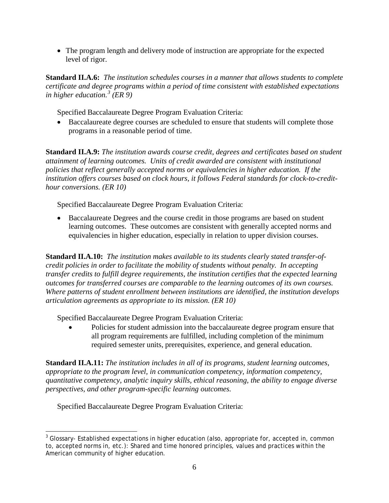• The program length and delivery mode of instruction are appropriate for the expected level of rigor.

**Standard II.A.6:** *The institution schedules courses in a manner that allows students to complete certificate and degree programs within a period of time consistent with established expectations in higher education.[3](#page-5-0) (ER 9)*

Specified Baccalaureate Degree Program Evaluation Criteria:

• Baccalaureate degree courses are scheduled to ensure that students will complete those programs in a reasonable period of time.

**Standard II.A.9:** *The institution awards course credit, degrees and certificates based on student attainment of learning outcomes. Units of credit awarded are consistent with institutional policies that reflect generally accepted norms or equivalencies in higher education. If the institution offers courses based on clock hours, it follows Federal standards for clock-to-credithour conversions. (ER 10)*

Specified Baccalaureate Degree Program Evaluation Criteria:

• Baccalaureate Degrees and the course credit in those programs are based on student learning outcomes. These outcomes are consistent with generally accepted norms and equivalencies in higher education, especially in relation to upper division courses.

**Standard II.A.10:** *The institution makes available to its students clearly stated transfer-ofcredit policies in order to facilitate the mobility of students without penalty. In accepting transfer credits to fulfill degree requirements, the institution certifies that the expected learning outcomes for transferred courses are comparable to the learning outcomes of its own courses. Where patterns of student enrollment between institutions are identified, the institution develops articulation agreements as appropriate to its mission. (ER 10)*

Specified Baccalaureate Degree Program Evaluation Criteria:

• Policies for student admission into the baccalaureate degree program ensure that all program requirements are fulfilled, including completion of the minimum required semester units, prerequisites, experience, and general education.

**Standard II.A.11:** *The institution includes in all of its programs, student learning outcomes, appropriate to the program level, in communication competency, information competency, quantitative competency, analytic inquiry skills, ethical reasoning, the ability to engage diverse perspectives, and other program-specific learning outcomes.*

Specified Baccalaureate Degree Program Evaluation Criteria:

<span id="page-5-0"></span> $3$  Glossary- Established expectations in higher education (also, appropriate for, accepted in, common to, accepted norms in, etc.): Shared and time honored principles, values and practices within the American community of higher education.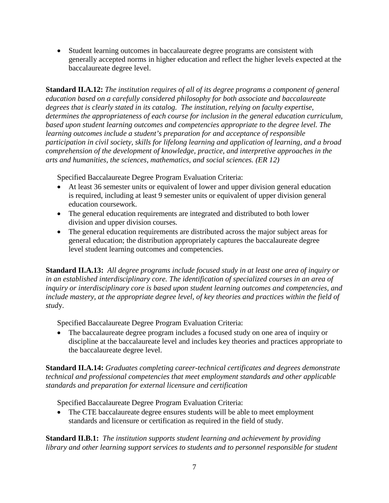• Student learning outcomes in baccalaureate degree programs are consistent with generally accepted norms in higher education and reflect the higher levels expected at the baccalaureate degree level.

**Standard II.A.12:** *The institution requires of all of its degree programs a component of general education based on a carefully considered philosophy for both associate and baccalaureate degrees that is clearly stated in its catalog. The institution, relying on faculty expertise, determines the appropriateness of each course for inclusion in the general education curriculum, based upon student learning outcomes and competencies appropriate to the degree level. The learning outcomes include a student's preparation for and acceptance of responsible participation in civil society, skills for lifelong learning and application of learning, and a broad comprehension of the development of knowledge, practice, and interpretive approaches in the arts and humanities, the sciences, mathematics, and social sciences. (ER 12)*

Specified Baccalaureate Degree Program Evaluation Criteria:

- At least 36 semester units or equivalent of lower and upper division general education is required, including at least 9 semester units or equivalent of upper division general education coursework.
- The general education requirements are integrated and distributed to both lower division and upper division courses.
- The general education requirements are distributed across the major subject areas for general education; the distribution appropriately captures the baccalaureate degree level student learning outcomes and competencies.

**Standard II.A.13:** *All degree programs include focused study in at least one area of inquiry or in an established interdisciplinary core. The identification of specialized courses in an area of inquiry or interdisciplinary core is based upon student learning outcomes and competencies, and include mastery, at the appropriate degree level, of key theories and practices within the field of stud*y.

Specified Baccalaureate Degree Program Evaluation Criteria:

• The baccalaureate degree program includes a focused study on one area of inquiry or discipline at the baccalaureate level and includes key theories and practices appropriate to the baccalaureate degree level.

**Standard II.A.14:** *Graduates completing career-technical certificates and degrees demonstrate technical and professional competencies that meet employment standards and other applicable standards and preparation for external licensure and certification*

Specified Baccalaureate Degree Program Evaluation Criteria:

• The CTE baccalaureate degree ensures students will be able to meet employment standards and licensure or certification as required in the field of study.

**Standard II.B.1:** *The institution supports student learning and achievement by providing library and other learning support services to students and to personnel responsible for student*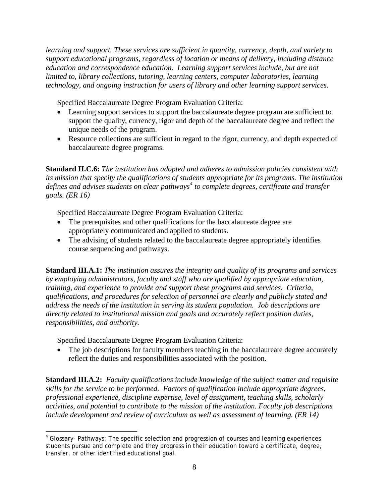*learning and support. These services are sufficient in quantity, currency, depth, and variety to support educational programs, regardless of location or means of delivery, including distance education and correspondence education. Learning support services include, but are not limited to, library collections, tutoring, learning centers, computer laboratories, learning technology, and ongoing instruction for users of library and other learning support services.*

Specified Baccalaureate Degree Program Evaluation Criteria:

- Learning support services to support the baccalaureate degree program are sufficient to support the quality, currency, rigor and depth of the baccalaureate degree and reflect the unique needs of the program.
- Resource collections are sufficient in regard to the rigor, currency, and depth expected of baccalaureate degree programs.

**Standard II.C.6:** *The institution has adopted and adheres to admission policies consistent with its mission that specify the qualifications of students appropriate for its programs. The institution defines and advises students on clear pathways[4](#page-7-0) to complete degrees, certificate and transfer goals. (ER 16)*

Specified Baccalaureate Degree Program Evaluation Criteria:

- The prerequisites and other qualifications for the baccalaureate degree are appropriately communicated and applied to students.
- The advising of students related to the baccalaureate degree appropriately identifies course sequencing and pathways.

**Standard III.A.1:** *The institution assures the integrity and quality of its programs and services by employing administrators, faculty and staff who are qualified by appropriate education, training, and experience to provide and support these programs and services. Criteria, qualifications, and procedures for selection of personnel are clearly and publicly stated and address the needs of the institution in serving its student population. Job descriptions are directly related to institutional mission and goals and accurately reflect position duties, responsibilities, and authority.* 

Specified Baccalaureate Degree Program Evaluation Criteria:

• The job descriptions for faculty members teaching in the baccalaureate degree accurately reflect the duties and responsibilities associated with the position.

**Standard III.A.2:** *Faculty qualifications include knowledge of the subject matter and requisite skills for the service to be performed. Factors of qualification include appropriate degrees, professional experience, discipline expertise, level of assignment, teaching skills, scholarly activities, and potential to contribute to the mission of the institution. Faculty job descriptions include development and review of curriculum as well as assessment of learning. (ER 14)*

<span id="page-7-0"></span><sup>4</sup> Glossary- Pathways: The specific selection and progression of courses and learning experiences students pursue and complete and they progress in their education toward a certificate, degree, transfer, or other identified educational goal.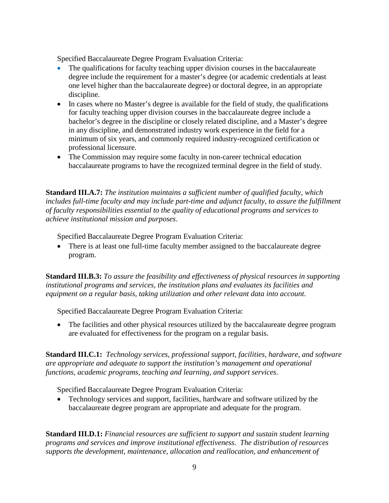Specified Baccalaureate Degree Program Evaluation Criteria:

- The qualifications for faculty teaching upper division courses in the baccalaureate degree include the requirement for a master's degree (or academic credentials at least one level higher than the baccalaureate degree) or doctoral degree, in an appropriate discipline.
- In cases where no Master's degree is available for the field of study, the qualifications for faculty teaching upper division courses in the baccalaureate degree include a bachelor's degree in the discipline or closely related discipline, and a Master's degree in any discipline, and demonstrated industry work experience in the field for a minimum of six years, and commonly required industry-recognized certification or professional licensure.
- The Commission may require some faculty in non-career technical education baccalaureate programs to have the recognized terminal degree in the field of study.

**Standard III.A.7:** *The institution maintains a sufficient number of qualified faculty, which includes full-time faculty and may include part-time and adjunct faculty, to assure the fulfillment of faculty responsibilities essential to the quality of educational programs and services to achieve institutional mission and purposes*.

Specified Baccalaureate Degree Program Evaluation Criteria:

• There is at least one full-time faculty member assigned to the baccalaureate degree program.

**Standard III.B.3:** *To assure the feasibility and effectiveness of physical resources in supporting institutional programs and services, the institution plans and evaluates its facilities and equipment on a regular basis, taking utilization and other relevant data into account.*

Specified Baccalaureate Degree Program Evaluation Criteria:

• The facilities and other physical resources utilized by the baccalaureate degree program are evaluated for effectiveness for the program on a regular basis.

**Standard III.C.1:** *Technology services, professional support, facilities, hardware, and software are appropriate and adequate to support the institution's management and operational functions, academic programs, teaching and learning, and support services.*

Specified Baccalaureate Degree Program Evaluation Criteria:

• Technology services and support, facilities, hardware and software utilized by the baccalaureate degree program are appropriate and adequate for the program.

**Standard III.D.1:** *Financial resources are sufficient to support and sustain student learning programs and services and improve institutional effectiveness. The distribution of resources supports the development, maintenance, allocation and reallocation, and enhancement of*